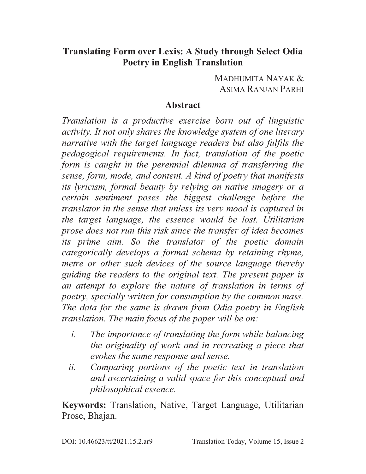## **Translating Form over Lexis: A Study through Select Odia Poetry in English Translation**

### MADHUMITA NAYAK & ASIMA RANJAN PARHI

### **Abstract**

*Translation is a productive exercise born out of linguistic activity. It not only shares the knowledge system of one literary narrative with the target language readers but also fulfils the pedagogical requirements. In fact, translation of the poetic form is caught in the perennial dilemma of transferring the sense, form, mode, and content. A kind of poetry that manifests its lyricism, formal beauty by relying on native imagery or a certain sentiment poses the biggest challenge before the translator in the sense that unless its very mood is captured in the target language, the essence would be lost. Utilitarian prose does not run this risk since the transfer of idea becomes its prime aim. So the translator of the poetic domain categorically develops a formal schema by retaining rhyme, metre or other such devices of the source language thereby guiding the readers to the original text. The present paper is an attempt to explore the nature of translation in terms of poetry, specially written for consumption by the common mass. The data for the same is drawn from Odia poetry in English translation. The main focus of the paper will be on:* 

- *i. The importance of translating the form while balancing the originality of work and in recreating a piece that evokes the same response and sense.*
- *ii. Comparing portions of the poetic text in translation and ascertaining a valid space for this conceptual and philosophical essence.*

**Keywords:** Translation, Native, Target Language, Utilitarian Prose, Bhajan.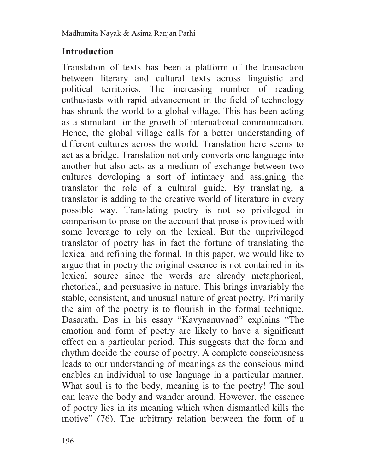# **Introduction**

Translation of texts has been a platform of the transaction between literary and cultural texts across linguistic and political territories. The increasing number of reading enthusiasts with rapid advancement in the field of technology has shrunk the world to a global village. This has been acting as a stimulant for the growth of international communication. Hence, the global village calls for a better understanding of different cultures across the world. Translation here seems to act as a bridge. Translation not only converts one language into another but also acts as a medium of exchange between two cultures developing a sort of intimacy and assigning the translator the role of a cultural guide. By translating, a translator is adding to the creative world of literature in every possible way. Translating poetry is not so privileged in comparison to prose on the account that prose is provided with some leverage to rely on the lexical. But the unprivileged translator of poetry has in fact the fortune of translating the lexical and refining the formal. In this paper, we would like to argue that in poetry the original essence is not contained in its lexical source since the words are already metaphorical, rhetorical, and persuasive in nature. This brings invariably the stable, consistent, and unusual nature of great poetry. Primarily the aim of the poetry is to flourish in the formal technique. Dasarathi Das in his essay "Kavyaanuvaad" explains "The emotion and form of poetry are likely to have a significant effect on a particular period. This suggests that the form and rhythm decide the course of poetry. A complete consciousness leads to our understanding of meanings as the conscious mind enables an individual to use language in a particular manner. What soul is to the body, meaning is to the poetry! The soul can leave the body and wander around. However, the essence of poetry lies in its meaning which when dismantled kills the motive" (76). The arbitrary relation between the form of a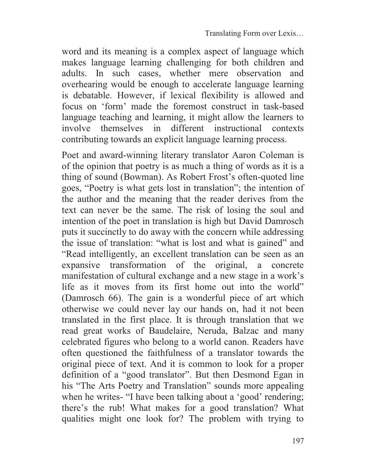word and its meaning is a complex aspect of language which makes language learning challenging for both children and adults. In such cases, whether mere observation and overhearing would be enough to accelerate language learning is debatable. However, if lexical flexibility is allowed and focus on 'form' made the foremost construct in task-based language teaching and learning, it might allow the learners to involve themselves in different instructional contexts contributing towards an explicit language learning process.

Poet and award-winning literary translator Aaron Coleman is of the opinion that poetry is as much a thing of words as it is a thing of sound (Bowman). As Robert Frost's often-quoted line goes, "Poetry is what gets lost in translation"; the intention of the author and the meaning that the reader derives from the text can never be the same. The risk of losing the soul and intention of the poet in translation is high but David Damrosch puts it succinctly to do away with the concern while addressing the issue of translation: "what is lost and what is gained" and "Read intelligently, an excellent translation can be seen as an expansive transformation of the original, a concrete manifestation of cultural exchange and a new stage in a work's life as it moves from its first home out into the world" (Damrosch 66). The gain is a wonderful piece of art which otherwise we could never lay our hands on, had it not been translated in the first place. It is through translation that we read great works of Baudelaire, Neruda, Balzac and many celebrated figures who belong to a world canon. Readers have often questioned the faithfulness of a translator towards the original piece of text. And it is common to look for a proper definition of a "good translator". But then Desmond Egan in his "The Arts Poetry and Translation" sounds more appealing when he writes- "I have been talking about a 'good' rendering; there's the rub! What makes for a good translation? What qualities might one look for? The problem with trying to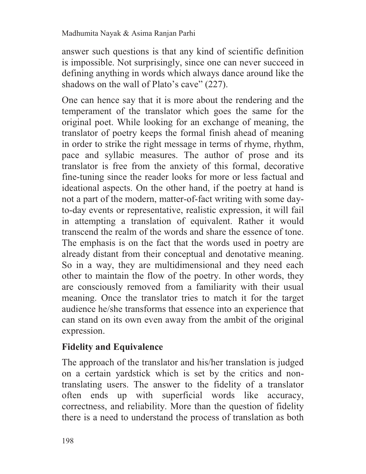answer such questions is that any kind of scientific definition is impossible. Not surprisingly, since one can never succeed in defining anything in words which always dance around like the shadows on the wall of Plato's cave" (227).

One can hence say that it is more about the rendering and the temperament of the translator which goes the same for the original poet. While looking for an exchange of meaning, the translator of poetry keeps the formal finish ahead of meaning in order to strike the right message in terms of rhyme, rhythm, pace and syllabic measures. The author of prose and its translator is free from the anxiety of this formal, decorative fine-tuning since the reader looks for more or less factual and ideational aspects. On the other hand, if the poetry at hand is not a part of the modern, matter-of-fact writing with some dayto-day events or representative, realistic expression, it will fail in attempting a translation of equivalent. Rather it would transcend the realm of the words and share the essence of tone. The emphasis is on the fact that the words used in poetry are already distant from their conceptual and denotative meaning. So in a way, they are multidimensional and they need each other to maintain the flow of the poetry. In other words, they are consciously removed from a familiarity with their usual meaning. Once the translator tries to match it for the target audience he/she transforms that essence into an experience that can stand on its own even away from the ambit of the original expression.

# **Fidelity and Equivalence**

The approach of the translator and his/her translation is judged on a certain yardstick which is set by the critics and nontranslating users. The answer to the fidelity of a translator often ends up with superficial words like accuracy, correctness, and reliability. More than the question of fidelity there is a need to understand the process of translation as both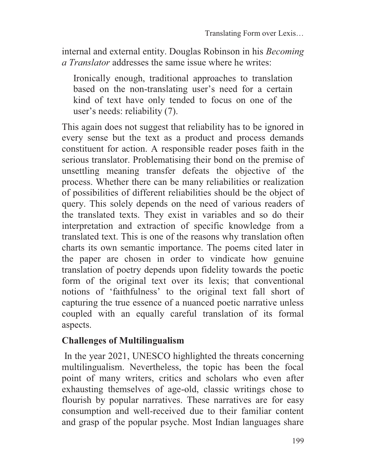internal and external entity. Douglas Robinson in his *Becoming a Translator* addresses the same issue where he writes:

Ironically enough, traditional approaches to translation based on the non-translating user's need for a certain kind of text have only tended to focus on one of the user's needs: reliability (7).

This again does not suggest that reliability has to be ignored in every sense but the text as a product and process demands constituent for action. A responsible reader poses faith in the serious translator. Problematising their bond on the premise of unsettling meaning transfer defeats the objective of the process. Whether there can be many reliabilities or realization of possibilities of different reliabilities should be the object of query. This solely depends on the need of various readers of the translated texts. They exist in variables and so do their interpretation and extraction of specific knowledge from a translated text. This is one of the reasons why translation often charts its own semantic importance. The poems cited later in the paper are chosen in order to vindicate how genuine translation of poetry depends upon fidelity towards the poetic form of the original text over its lexis; that conventional notions of 'faithfulness' to the original text fall short of capturing the true essence of a nuanced poetic narrative unless coupled with an equally careful translation of its formal aspects.

## **Challenges of Multilingualism**

 In the year 2021, UNESCO highlighted the threats concerning multilingualism. Nevertheless, the topic has been the focal point of many writers, critics and scholars who even after exhausting themselves of age-old, classic writings chose to flourish by popular narratives. These narratives are for easy consumption and well-received due to their familiar content and grasp of the popular psyche. Most Indian languages share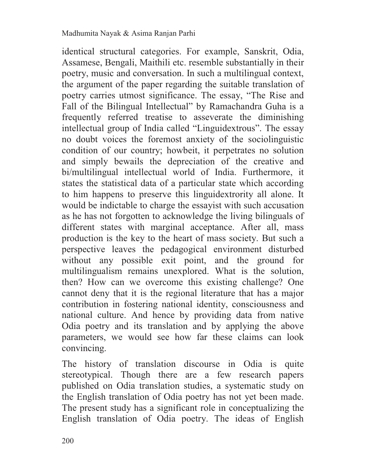identical structural categories. For example, Sanskrit, Odia, Assamese, Bengali, Maithili etc. resemble substantially in their poetry, music and conversation. In such a multilingual context, the argument of the paper regarding the suitable translation of poetry carries utmost significance. The essay, "The Rise and Fall of the Bilingual Intellectual" by Ramachandra Guha is a frequently referred treatise to asseverate the diminishing intellectual group of India called "Linguidextrous". The essay no doubt voices the foremost anxiety of the sociolinguistic condition of our country; howbeit, it perpetrates no solution and simply bewails the depreciation of the creative and bi/multilingual intellectual world of India. Furthermore, it states the statistical data of a particular state which according to him happens to preserve this linguidextrority all alone. It would be indictable to charge the essayist with such accusation as he has not forgotten to acknowledge the living bilinguals of different states with marginal acceptance. After all, mass production is the key to the heart of mass society. But such a perspective leaves the pedagogical environment disturbed without any possible exit point, and the ground for multilingualism remains unexplored. What is the solution, then? How can we overcome this existing challenge? One cannot deny that it is the regional literature that has a major contribution in fostering national identity, consciousness and national culture. And hence by providing data from native Odia poetry and its translation and by applying the above parameters, we would see how far these claims can look convincing.

The history of translation discourse in Odia is quite stereotypical. Though there are a few research papers published on Odia translation studies, a systematic study on the English translation of Odia poetry has not yet been made. The present study has a significant role in conceptualizing the English translation of Odia poetry. The ideas of English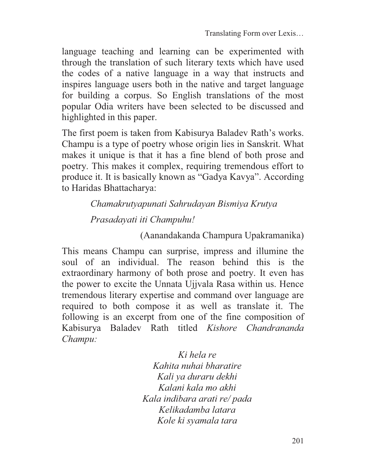language teaching and learning can be experimented with through the translation of such literary texts which have used the codes of a native language in a way that instructs and inspires language users both in the native and target language for building a corpus. So English translations of the most popular Odia writers have been selected to be discussed and highlighted in this paper.

The first poem is taken from Kabisurya Baladev Rath's works. Champu is a type of poetry whose origin lies in Sanskrit. What makes it unique is that it has a fine blend of both prose and poetry. This makes it complex, requiring tremendous effort to produce it. It is basically known as "Gadya Kavya". According to Haridas Bhattacharya:

> *Chamakrutyapunati Sahrudayan Bismiya Krutya Prasadayati iti Champuhu!*

> > (Aanandakanda Champura Upakramanika)

This means Champu can surprise, impress and illumine the soul of an individual. The reason behind this is the extraordinary harmony of both prose and poetry. It even has the power to excite the Unnata Ujjvala Rasa within us. Hence tremendous literary expertise and command over language are required to both compose it as well as translate it. The following is an excerpt from one of the fine composition of Kabisurya Baladev Rath titled *Kishore Chandrananda Champu:*

> *Ki hela re Kahita nuhai bharatire Kali ya duraru dekhi Kalani kala mo akhi Kala indibara arati re/ pada Kelikadamba latara Kole ki syamala tara*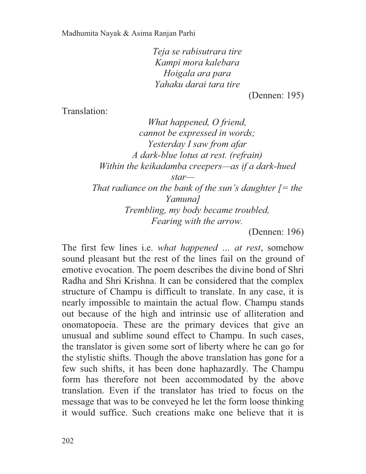*Teja se rabisutrara tire Kampi mora kalebara Hoigala ara para Yahaku darai tara tire* 

(Dennen: 195)

Translation:

*What happened, O friend, cannot be expressed in words; Yesterday I saw from afar A dark-blue lotus at rest. (refrain) Within the keikadamba creepers—as if a dark-hued star— That radiance on the bank of the sun's daughter [= the Yamuna] Trembling, my body became troubled, Fearing with the arrow.*

(Dennen: 196)

The first few lines i.e. *what happened … at rest*, somehow sound pleasant but the rest of the lines fail on the ground of emotive evocation. The poem describes the divine bond of Shri Radha and Shri Krishna. It can be considered that the complex structure of Champu is difficult to translate. In any case, it is nearly impossible to maintain the actual flow. Champu stands out because of the high and intrinsic use of alliteration and onomatopoeia. These are the primary devices that give an unusual and sublime sound effect to Champu. In such cases, the translator is given some sort of liberty where he can go for the stylistic shifts. Though the above translation has gone for a few such shifts, it has been done haphazardly. The Champu form has therefore not been accommodated by the above translation. Even if the translator has tried to focus on the message that was to be conveyed he let the form loose thinking it would suffice. Such creations make one believe that it is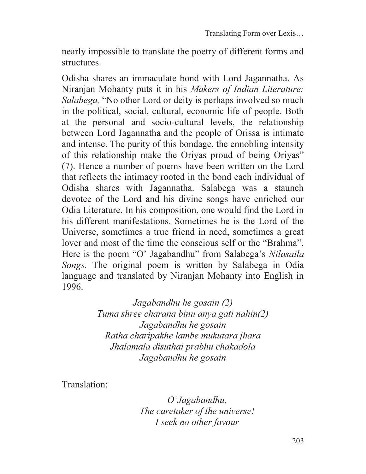nearly impossible to translate the poetry of different forms and structures.

Odisha shares an immaculate bond with Lord Jagannatha. As Niranjan Mohanty puts it in his *Makers of Indian Literature: Salabega,* "No other Lord or deity is perhaps involved so much in the political, social, cultural, economic life of people. Both at the personal and socio-cultural levels, the relationship between Lord Jagannatha and the people of Orissa is intimate and intense. The purity of this bondage, the ennobling intensity of this relationship make the Oriyas proud of being Oriyas" (7). Hence a number of poems have been written on the Lord that reflects the intimacy rooted in the bond each individual of Odisha shares with Jagannatha. Salabega was a staunch devotee of the Lord and his divine songs have enriched our Odia Literature. In his composition, one would find the Lord in his different manifestations. Sometimes he is the Lord of the Universe, sometimes a true friend in need, sometimes a great lover and most of the time the conscious self or the "Brahma". Here is the poem "O' Jagabandhu" from Salabega's *Nilasaila Songs.* The original poem is written by Salabega in Odia language and translated by Niranjan Mohanty into English in 1996.

> *Jagabandhu he gosain (2) Tuma shree charana binu anya gati nahin(2) Jagabandhu he gosain Ratha charipakhe lambe mukutara jhara Jhalamala disuthai prabhu chakadola Jagabandhu he gosain*

Translation:

*O'Jagabandhu, The caretaker of the universe! I seek no other favour*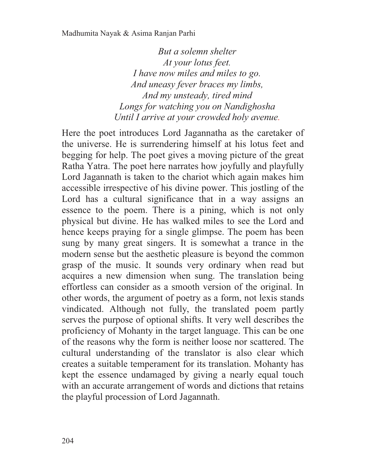*But a solemn shelter At your lotus feet. I have now miles and miles to go. And uneasy fever braces my limbs, And my unsteady, tired mind Longs for watching you on Nandighosha Until I arrive at your crowded holy avenue.* 

Here the poet introduces Lord Jagannatha as the caretaker of the universe. He is surrendering himself at his lotus feet and begging for help. The poet gives a moving picture of the great Ratha Yatra. The poet here narrates how joyfully and playfully Lord Jagannath is taken to the chariot which again makes him accessible irrespective of his divine power. This jostling of the Lord has a cultural significance that in a way assigns an essence to the poem. There is a pining, which is not only physical but divine. He has walked miles to see the Lord and hence keeps praying for a single glimpse. The poem has been sung by many great singers. It is somewhat a trance in the modern sense but the aesthetic pleasure is beyond the common grasp of the music. It sounds very ordinary when read but acquires a new dimension when sung. The translation being effortless can consider as a smooth version of the original. In other words, the argument of poetry as a form, not lexis stands vindicated. Although not fully, the translated poem partly serves the purpose of optional shifts. It very well describes the proficiency of Mohanty in the target language. This can be one of the reasons why the form is neither loose nor scattered. The cultural understanding of the translator is also clear which creates a suitable temperament for its translation. Mohanty has kept the essence undamaged by giving a nearly equal touch with an accurate arrangement of words and dictions that retains the playful procession of Lord Jagannath.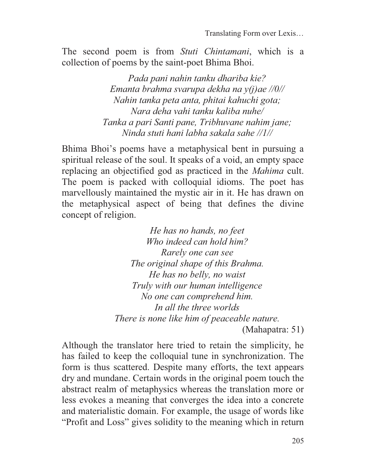The second poem is from *Stuti Chintamani*, which is a collection of poems by the saint-poet Bhima Bhoi.

> *Pada pani nahin tanku dhariba kie? Emanta brahma svarupa dekha na y(j)ae //0// Nahin tanka peta anta, phitai kahuchi gota; Nara deha vahi tanku kaliba nuhe/ Tanka a pari Santi pane, Tribhuvane nahim jane; Ninda stuti hani labha sakala sahe //1//*

Bhima Bhoi's poems have a metaphysical bent in pursuing a spiritual release of the soul. It speaks of a void, an empty space replacing an objectified god as practiced in the *Mahima* cult. The poem is packed with colloquial idioms. The poet has marvellously maintained the mystic air in it. He has drawn on the metaphysical aspect of being that defines the divine concept of religion.

> *He has no hands, no feet Who indeed can hold him? Rarely one can see The original shape of this Brahma. He has no belly, no waist Truly with our human intelligence No one can comprehend him. In all the three worlds There is none like him of peaceable nature.*  (Mahapatra: 51)

Although the translator here tried to retain the simplicity, he has failed to keep the colloquial tune in synchronization. The form is thus scattered. Despite many efforts, the text appears dry and mundane. Certain words in the original poem touch the abstract realm of metaphysics whereas the translation more or less evokes a meaning that converges the idea into a concrete and materialistic domain. For example, the usage of words like "Profit and Loss" gives solidity to the meaning which in return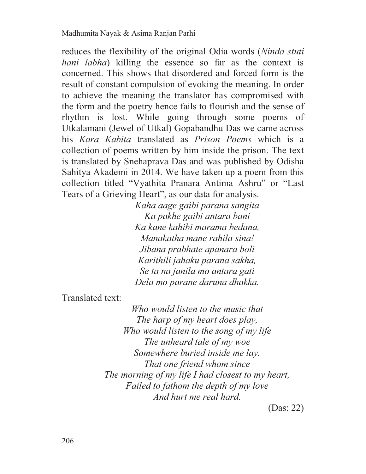reduces the flexibility of the original Odia words (*Ninda stuti hani labha*) killing the essence so far as the context is concerned. This shows that disordered and forced form is the result of constant compulsion of evoking the meaning. In order to achieve the meaning the translator has compromised with the form and the poetry hence fails to flourish and the sense of rhythm is lost. While going through some poems of Utkalamani (Jewel of Utkal) Gopabandhu Das we came across his *Kara Kabita* translated as *Prison Poems* which is a collection of poems written by him inside the prison. The text is translated by Snehaprava Das and was published by Odisha Sahitya Akademi in 2014. We have taken up a poem from this collection titled "Vyathita Pranara Antima Ashru" or "Last Tears of a Grieving Heart", as our data for analysis.

*Kaha aage gaibi parana sangita Ka pakhe gaibi antara bani Ka kane kahibi marama bedana, Manakatha mane rahila sina! Jibana prabhate apanara boli Karithili jahaku parana sakha, Se ta na janila mo antara gati Dela mo parane daruna dhakka.* 

Translated text:

*Who would listen to the music that The harp of my heart does play, Who would listen to the song of my life The unheard tale of my woe Somewhere buried inside me lay. That one friend whom since The morning of my life I had closest to my heart, Failed to fathom the depth of my love And hurt me real hard.* 

(Das: 22)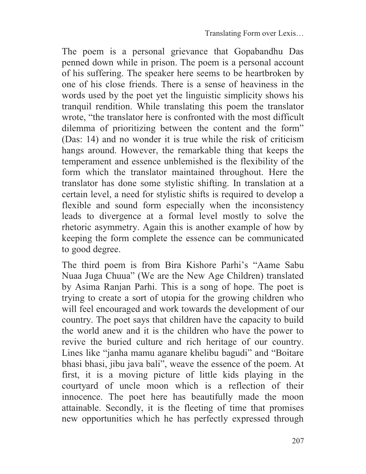The poem is a personal grievance that Gopabandhu Das penned down while in prison. The poem is a personal account of his suffering. The speaker here seems to be heartbroken by one of his close friends. There is a sense of heaviness in the words used by the poet yet the linguistic simplicity shows his tranquil rendition. While translating this poem the translator wrote, "the translator here is confronted with the most difficult dilemma of prioritizing between the content and the form" (Das: 14) and no wonder it is true while the risk of criticism hangs around. However, the remarkable thing that keeps the temperament and essence unblemished is the flexibility of the form which the translator maintained throughout. Here the translator has done some stylistic shifting. In translation at a certain level, a need for stylistic shifts is required to develop a flexible and sound form especially when the inconsistency leads to divergence at a formal level mostly to solve the rhetoric asymmetry. Again this is another example of how by keeping the form complete the essence can be communicated to good degree.

The third poem is from Bira Kishore Parhi's "Aame Sabu Nuaa Juga Chuua" (We are the New Age Children) translated by Asima Ranjan Parhi. This is a song of hope. The poet is trying to create a sort of utopia for the growing children who will feel encouraged and work towards the development of our country. The poet says that children have the capacity to build the world anew and it is the children who have the power to revive the buried culture and rich heritage of our country. Lines like "janha mamu aganare khelibu bagudi" and "Boitare bhasi bhasi, jibu java bali", weave the essence of the poem. At first, it is a moving picture of little kids playing in the courtyard of uncle moon which is a reflection of their innocence. The poet here has beautifully made the moon attainable. Secondly, it is the fleeting of time that promises new opportunities which he has perfectly expressed through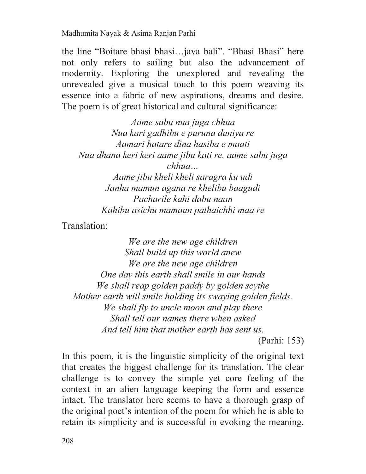the line "Boitare bhasi bhasi…java bali". "Bhasi Bhasi" here not only refers to sailing but also the advancement of modernity. Exploring the unexplored and revealing the unrevealed give a musical touch to this poem weaving its essence into a fabric of new aspirations, dreams and desire. The poem is of great historical and cultural significance:

*Aame sabu nua juga chhua Nua kari gadhibu e puruna duniya re Aamari hatare dina hasiba e maati Nua dhana keri keri aame jibu kati re. aame sabu juga chhua… Aame jibu kheli kheli saragra ku udi Janha mamun agana re khelibu baagudi Pacharile kahi dabu naan Kahibu asichu mamaun pathaichhi maa re* 

Translation:

*We are the new age children Shall build up this world anew We are the new age children One day this earth shall smile in our hands We shall reap golden paddy by golden scythe Mother earth will smile holding its swaying golden fields. We shall fly to uncle moon and play there Shall tell our names there when asked And tell him that mother earth has sent us.* 

(Parhi: 153)

In this poem, it is the linguistic simplicity of the original text that creates the biggest challenge for its translation. The clear challenge is to convey the simple yet core feeling of the context in an alien language keeping the form and essence intact. The translator here seems to have a thorough grasp of the original poet's intention of the poem for which he is able to retain its simplicity and is successful in evoking the meaning.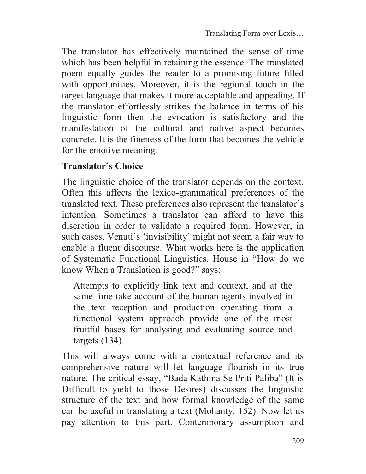The translator has effectively maintained the sense of time which has been helpful in retaining the essence. The translated poem equally guides the reader to a promising future filled with opportunities. Moreover, it is the regional touch in the target language that makes it more acceptable and appealing. If the translator effortlessly strikes the balance in terms of his linguistic form then the evocation is satisfactory and the manifestation of the cultural and native aspect becomes concrete. It is the fineness of the form that becomes the vehicle for the emotive meaning.

## **Translator's Choice**

The linguistic choice of the translator depends on the context. Often this affects the lexico-grammatical preferences of the translated text. These preferences also represent the translator's intention. Sometimes a translator can afford to have this discretion in order to validate a required form. However, in such cases, Venuti's 'invisibility' might not seem a fair way to enable a fluent discourse. What works here is the application of Systematic Functional Linguistics. House in "How do we know When a Translation is good?" says:

Attempts to explicitly link text and context, and at the same time take account of the human agents involved in the text reception and production operating from a functional system approach provide one of the most fruitful bases for analysing and evaluating source and targets (134).

This will always come with a contextual reference and its comprehensive nature will let language flourish in its true nature. The critical essay, "Bada Kathina Se Priti Paliba" (It is Difficult to yield to those Desires) discusses the linguistic structure of the text and how formal knowledge of the same can be useful in translating a text (Mohanty: 152). Now let us pay attention to this part. Contemporary assumption and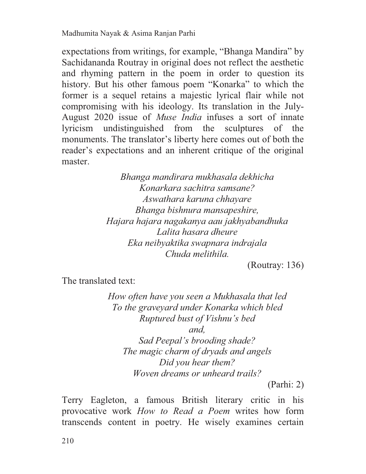expectations from writings, for example, "Bhanga Mandira" by Sachidananda Routray in original does not reflect the aesthetic and rhyming pattern in the poem in order to question its history. But his other famous poem "Konarka" to which the former is a sequel retains a majestic lyrical flair while not compromising with his ideology. Its translation in the July-August 2020 issue of *Muse India* infuses a sort of innate lyricism undistinguished from the sculptures of the monuments. The translator's liberty here comes out of both the reader's expectations and an inherent critique of the original master.

> *Bhanga mandirara mukhasala dekhicha Konarkara sachitra samsane? Aswathara karuna chhayare Bhanga bishnura mansapeshire, Hajara hajara nagakanya aau jakhyabandhuka Lalita hasara dheure Eka neibyaktika swapnara indrajala Chuda melithila.*

(Routray: 136)

The translated text:

*How often have you seen a Mukhasala that led To the graveyard under Konarka which bled Ruptured bust of Vishnu's bed* 

*and,* 

*Sad Peepal's brooding shade? The magic charm of dryads and angels Did you hear them? Woven dreams or unheard trails?* 

(Parhi: 2)

Terry Eagleton, a famous British literary critic in his provocative work *How to Read a Poem* writes how form transcends content in poetry. He wisely examines certain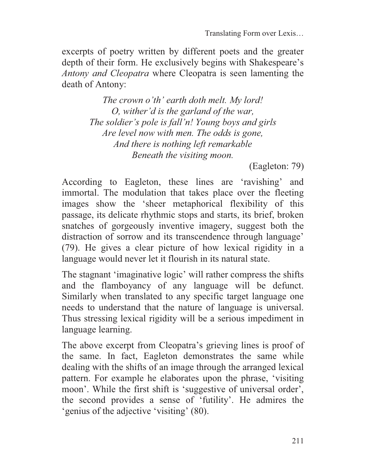excerpts of poetry written by different poets and the greater depth of their form. He exclusively begins with Shakespeare's *Antony and Cleopatra* where Cleopatra is seen lamenting the death of Antony:

> *The crown o'th' earth doth melt. My lord! O, wither'd is the garland of the war, The soldier's pole is fall'n! Young boys and girls Are level now with men. The odds is gone, And there is nothing left remarkable Beneath the visiting moon.*

> > (Eagleton: 79)

According to Eagleton, these lines are 'ravishing' and immortal. The modulation that takes place over the fleeting images show the 'sheer metaphorical flexibility of this passage, its delicate rhythmic stops and starts, its brief, broken snatches of gorgeously inventive imagery, suggest both the distraction of sorrow and its transcendence through language' (79). He gives a clear picture of how lexical rigidity in a language would never let it flourish in its natural state.

The stagnant 'imaginative logic' will rather compress the shifts and the flamboyancy of any language will be defunct. Similarly when translated to any specific target language one needs to understand that the nature of language is universal. Thus stressing lexical rigidity will be a serious impediment in language learning.

The above excerpt from Cleopatra's grieving lines is proof of the same. In fact, Eagleton demonstrates the same while dealing with the shifts of an image through the arranged lexical pattern. For example he elaborates upon the phrase, 'visiting moon'. While the first shift is 'suggestive of universal order', the second provides a sense of 'futility'. He admires the 'genius of the adjective 'visiting' (80).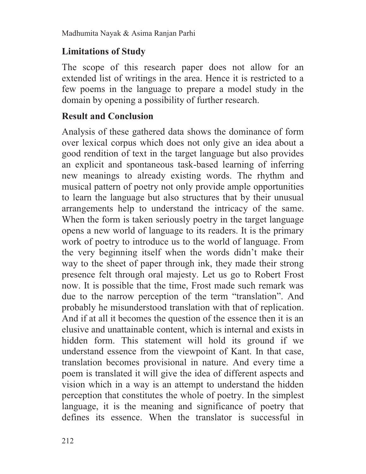# **Limitations of Study**

The scope of this research paper does not allow for an extended list of writings in the area. Hence it is restricted to a few poems in the language to prepare a model study in the domain by opening a possibility of further research.

# **Result and Conclusion**

Analysis of these gathered data shows the dominance of form over lexical corpus which does not only give an idea about a good rendition of text in the target language but also provides an explicit and spontaneous task-based learning of inferring new meanings to already existing words. The rhythm and musical pattern of poetry not only provide ample opportunities to learn the language but also structures that by their unusual arrangements help to understand the intricacy of the same. When the form is taken seriously poetry in the target language opens a new world of language to its readers. It is the primary work of poetry to introduce us to the world of language. From the very beginning itself when the words didn't make their way to the sheet of paper through ink, they made their strong presence felt through oral majesty. Let us go to Robert Frost now. It is possible that the time, Frost made such remark was due to the narrow perception of the term "translation". And probably he misunderstood translation with that of replication. And if at all it becomes the question of the essence then it is an elusive and unattainable content, which is internal and exists in hidden form. This statement will hold its ground if we understand essence from the viewpoint of Kant. In that case, translation becomes provisional in nature. And every time a poem is translated it will give the idea of different aspects and vision which in a way is an attempt to understand the hidden perception that constitutes the whole of poetry. In the simplest language, it is the meaning and significance of poetry that defines its essence. When the translator is successful in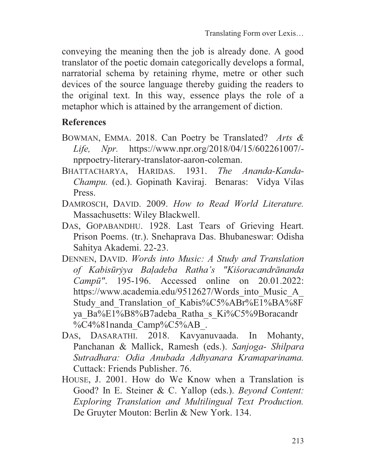conveying the meaning then the job is already done. A good translator of the poetic domain categorically develops a formal, narratorial schema by retaining rhyme, metre or other such devices of the source language thereby guiding the readers to the original text. In this way, essence plays the role of a metaphor which is attained by the arrangement of diction.

## **References**

- BOWMAN, EMMA. 2018. Can Poetry be Translated? *Arts & Life, Npr.* https://www.npr.org/2018/04/15/602261007/ nprpoetry-literary-translator-aaron-coleman.
- BHATTACHARYA, HARIDAS. 1931. *The Ananda-Kanda-Champu.* (ed.). Gopinath Kaviraj. Benaras: Vidya Vilas Press.
- DAMROSCH, DAVID. 2009. *How to Read World Literature.* Massachusetts: Wiley Blackwell.
- DAS, GOPABANDHU. 1928. Last Tears of Grieving Heart. Prison Poems. (tr.). Snehaprava Das. Bhubaneswar: Odisha Sahitya Akademi. 22-23.
- DENNEN, DAVID. *Words into Music: A Study and Translation of Kabisūrẏya Baḷadeba Ratha's "Kiśoracandrānanda Campū"*. 195-196. Accessed online on 20.01.2022: https://www.academia.edu/9512627/Words into Music A Study and Translation of Kabis%C5%ABr%E1%BA%8F ya\_Ba%E1%B8%B7adeba\_Ratha\_s\_Ki%C5%9Boracandr %C4%81nanda Camp%C5%AB.
- DAS, DASARATHI. 2018. Kavyanuvaada. In Mohanty, Panchanan & Mallick, Ramesh (eds.). *Sanjoga- Shilpara Sutradhara: Odia Anubada Adhyanara Kramaparinama.* Cuttack: Friends Publisher. 76.
- HOUSE, J. 2001. How do We Know when a Translation is Good? In E. Steiner & C. Yallop (eds.). *Beyond Content: Exploring Translation and Multilingual Text Production.*  De Gruyter Mouton: Berlin & New York. 134.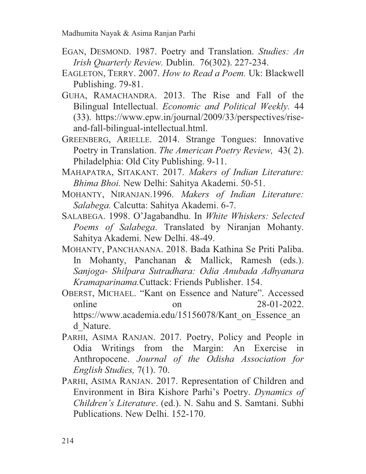- EGAN, DESMOND. 1987. Poetry and Translation. *Studies: An Irish Quarterly Review.* Dublin. 76(302). 227-234.
- EAGLETON, TERRY. 2007. *How to Read a Poem.* Uk: Blackwell Publishing. 79-81.
- GUHA, RAMACHANDRA. 2013. The Rise and Fall of the Bilingual Intellectual. *Economic and Political Weekly.* 44 (33). https://www.epw.in/journal/2009/33/perspectives/riseand-fall-bilingual-intellectual.html.
- GREENBERG, ARIELLE. 2014. Strange Tongues: Innovative Poetry in Translation. *The American Poetry Review,* 43( 2). Philadelphia: Old City Publishing. 9-11.
- MAHAPATRA, SITAKANT. 2017. *Makers of Indian Literature: Bhima Bhoi.* New Delhi: Sahitya Akademi. 50-51.
- MOHANTY, NIRANJAN.1996. *Makers of Indian Literature: Salabega.* Calcutta: Sahitya Akademi. 6-7.
- SALABEGA. 1998. O'Jagabandhu. In *White Whiskers: Selected Poems of Salabega*. Translated by Niranjan Mohanty. Sahitya Akademi. New Delhi. 48-49.
- MOHANTY, PANCHANANA. 2018. Bada Kathina Se Priti Paliba. In Mohanty, Panchanan & Mallick, Ramesh (eds.). *Sanjoga- Shilpara Sutradhara: Odia Anubada Adhyanara Kramaparinama.*Cuttack: Friends Publisher. 154.
- OBERST, MICHAEL. "Kant on Essence and Nature". Accessed online on 28-01-2022. https://www.academia.edu/15156078/Kant\_on\_Essence\_an d\_Nature.
- PARHI, ASIMA RANJAN. 2017. Poetry, Policy and People in Odia Writings from the Margin: An Exercise in Anthropocene. *Journal of the Odisha Association for English Studies,* 7(1). 70.
- PARHI, ASIMA RANJAN. 2017. Representation of Children and Environment in Bira Kishore Parhi's Poetry. *Dynamics of Children's Literature*. (ed.). N. Sahu and S. Samtani. Subhi Publications. New Delhi. 152-170.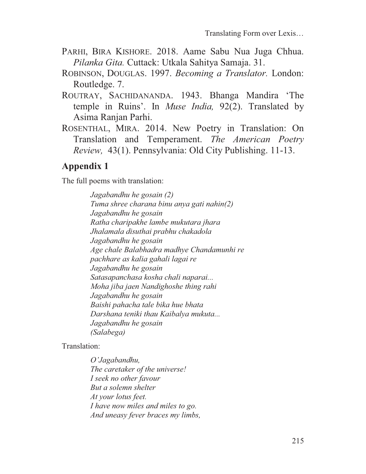- PARHI, BIRA KISHORE. 2018. Aame Sabu Nua Juga Chhua. *Pilanka Gita.* Cuttack: Utkala Sahitya Samaja. 31.
- ROBINSON, DOUGLAS. 1997. *Becoming a Translator.* London: Routledge. 7.
- ROUTRAY, SACHIDANANDA. 1943. Bhanga Mandira 'The temple in Ruins'. In *Muse India,* 92(2). Translated by Asima Ranjan Parhi.
- ROSENTHAL, MIRA. 2014. New Poetry in Translation: On Translation and Temperament. *The American Poetry Review,* 43(1). Pennsylvania: Old City Publishing. 11-13.

# **Appendix 1**

The full poems with translation:

*Jagabandhu he gosain (2) Tuma shree charana binu anya gati nahin(2) Jagabandhu he gosain Ratha charipakhe lambe mukutara jhara Jhalamala disuthai prabhu chakadola Jagabandhu he gosain Age chale Balabhadra madhye Chandamunhi re pachhare as kalia gahali lagai re Jagabandhu he gosain Satasapanchasa kosha chali naparai... Moha jiba jaen Nandighoshe thing rahi Jagabandhu he gosain Baishi pahacha tale bika hue bhata Darshana teniki thau Kaibalya mukuta... Jagabandhu he gosain (Salabega)* 

#### Translation:

*O'Jagabandhu, The caretaker of the universe! I seek no other favour But a solemn shelter At your lotus feet. I have now miles and miles to go. And uneasy fever braces my limbs,*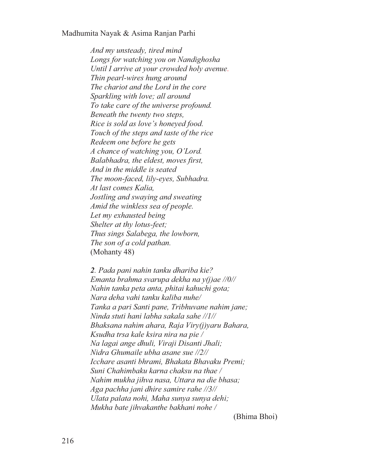*And my unsteady, tired mind Longs for watching you on Nandighosha Until I arrive at your crowded holy avenue. Thin pearl-wires hung around The chariot and the Lord in the core Sparkling with love; all around To take care of the universe profound. Beneath the twenty two steps, Rice is sold as love's honeyed food. Touch of the steps and taste of the rice Redeem one before he gets A chance of watching you, O'Lord. Balabhadra, the eldest, moves first, And in the middle is seated The moon-faced, lily-eyes, Subhadra. At last comes Kalia, Jostling and swaying and sweating Amid the winkless sea of people. Let my exhausted being Shelter at thy lotus-feet; Thus sings Salabega, the lowborn, The son of a cold pathan.*  (Mohanty 48)

*2. Pada pani nahin tanku dhariba kie? Emanta brahma svarupa dekha na y(j)ae //0// Nahin tanka peta anta, phitai kahuchi gota; Nara deha vahi tanku kaliba nuhe/ Tanka a pari Santi pane, Tribhuvane nahim jane; Ninda stuti hani labha sakala sahe //1// Bhaksana nahim ahara, Raja Viry(j)yaru Bahara, Ksudha trsa kale ksira nira na pie / Na lagai ange dhuli, Viraji Disanti Jhali; Nidra Ghumaile ubha asane sue //2// Icchare asanti bhrami, Bhakata Bhavaku Premi; Suni Chahimbaku karna chaksu na thae / Nahim mukha jihva nasa, Uttara na die bhasa; Aga pachha jani dhire samire rahe //3// Ulata palata nohi, Maha sunya sunya dehi; Mukha bate jihvakanthe bakhani nohe /* 

(Bhima Bhoi)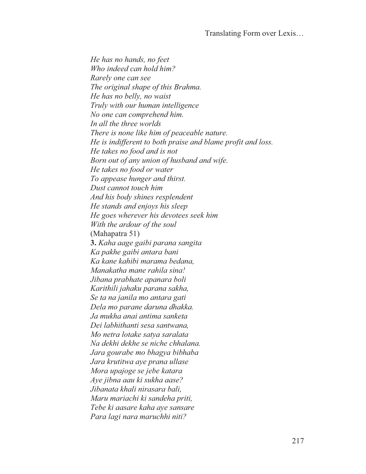Translating Form over Lexis…

*He has no hands, no feet Who indeed can hold him? Rarely one can see The original shape of this Brahma. He has no belly, no waist Truly with our human intelligence No one can comprehend him. In all the three worlds There is none like him of peaceable nature. He is indifferent to both praise and blame profit and loss. He takes no food and is not Born out of any union of husband and wife. He takes no food or water To appease hunger and thirst. Dust cannot touch him And his body shines resplendent He stands and enjoys his sleep He goes wherever his devotees seek him With the ardour of the soul*  (Mahapatra 51) **3.** *Kaha aage gaibi parana sangita Ka pakhe gaibi antara bani Ka kane kahibi marama bedana, Manakatha mane rahila sina! Jibana prabhate apanara boli Karithili jahaku parana sakha, Se ta na janila mo antara gati Dela mo parane daruna dhakka. Ja mukha anai antima sanketa Dei labhithanti sesa santwana, Mo netra lotake satya saralata Na dekhi dekhe se niche chhalana. Jara gourabe mo bhagya bibhaba Jara krutitwa aye prana ullase Mora upajoge se jebe katara Aye jibna aau ki sukha aase? Jibanata khali nirasara bali, Maru mariachi ki sandeha priti, Tebe ki aasare kaha aye sansare Para lagi nara maruchhi niti?*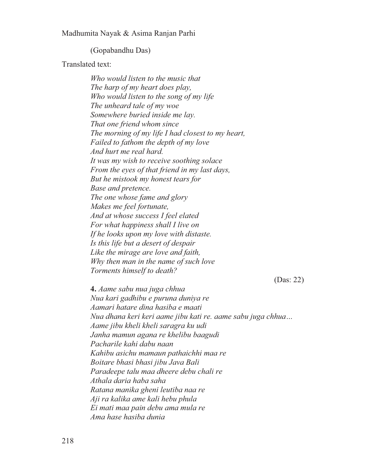(Gopabandhu Das)

Translated text:

*Who would listen to the music that The harp of my heart does play, Who would listen to the song of my life The unheard tale of my woe Somewhere buried inside me lay. That one friend whom since The morning of my life I had closest to my heart, Failed to fathom the depth of my love And hurt me real hard. It was my wish to receive soothing solace From the eyes of that friend in my last days, But he mistook my honest tears for Base and pretence. The one whose fame and glory Makes me feel fortunate, And at whose success I feel elated For what happiness shall I live on If he looks upon my love with distaste. Is this life but a desert of despair Like the mirage are love and faith, Why then man in the name of such love Torments himself to death?*  (Das: 22) **4.** *Aame sabu nua juga chhua Nua kari gadhibu e puruna duniya re Aamari hatare dina hasiba e maati Nua dhana keri keri aame jibu kati re. aame sabu juga chhua… Aame jibu kheli kheli saragra ku udi Janha mamun agana re khelibu baagudi Pacharile kahi dabu naan Kahibu asichu mamaun pathaichhi maa re Boitare bhasi bhasi jibu Java Bali Paradeepe talu maa dheere debu chali re* 

*Athala daria haba saha* 

*Ratana manika gheni leutiba naa re Aji ra kalika ame kali hebu phula* 

*Ei mati maa pain debu ama mula re* 

*Ama hase hasiba dunia*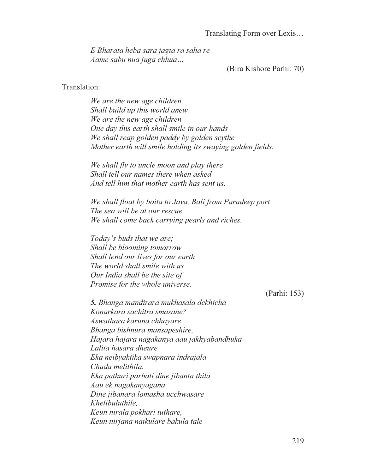Translating Form over Lexis…

*E Bharata heba sara jagta ra saha re Aame sabu nua juga chhua…*

(Bira Kishore Parhi: 70)

#### Translation:

*We are the new age children Shall build up this world anew We are the new age children One day this earth shall smile in our hands We shall reap golden paddy by golden scythe Mother earth will smile holding its swaying golden fields.* 

*We shall fly to uncle moon and play there Shall tell our names there when asked And tell him that mother earth has sent us.* 

*We shall float by boita to Java, Bali from Paradeep port The sea will be at our rescue We shall come back carrying pearls and riches.* 

*Today's buds that we are; Shall be blooming tomorrow Shall lend our lives for our earth The world shall smile with us Our India shall be the site of Promise for the whole universe.*

(Parhi: 153)

*5. Bhanga mandirara mukhasala dekhicha Konarkara sachitra smasane? Aswathara karuna chhayare Bhanga bishnura mansapeshire, Hajara hajara nagakanya aau jakhyabandhuka Lalita hasara dheure Eka neibyaktika swapnara indrajala Chuda melithila. Eka pathuri parbati dine jibanta thila. Aau ek nagakanyagana Dine jibanara lomasha ucchwasare Khelibuluthile, Keun nirala pokhari tuthare, Keun nirjana naikulare bakula tale*